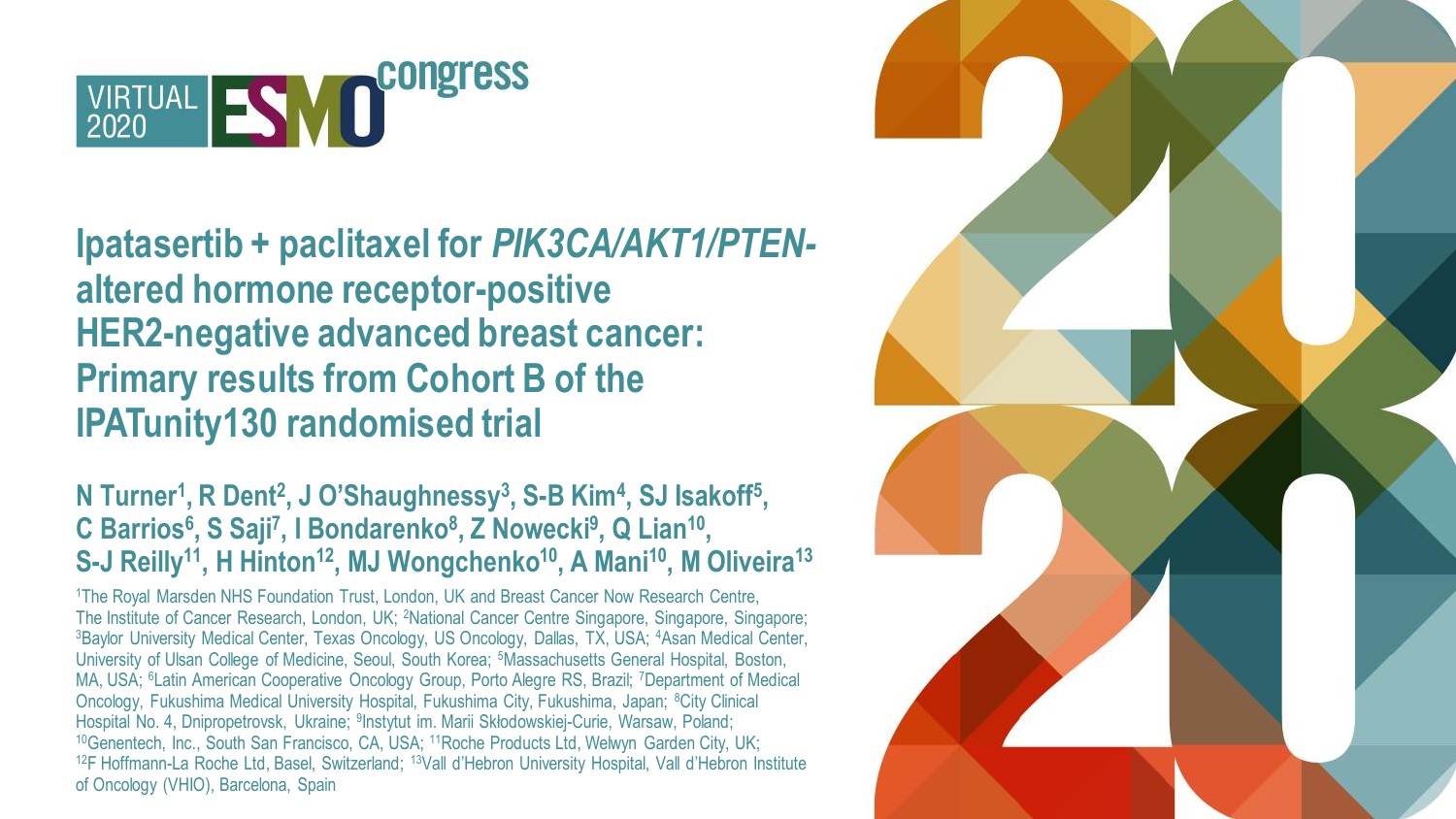

### **Ipatasertib + paclitaxel for** *PIK3CA/AKT1/PTEN***altered hormone receptor-positive HER2-negative advanced breast cancer: Primary results from Cohort B of the IPATunity130 randomised trial**

#### **N Turner<sup>1</sup> , R Dent<sup>2</sup> , J O'Shaughnessy<sup>3</sup> , S-B Kim<sup>4</sup> , SJ Isakoff<sup>5</sup> , C Barrios<sup>6</sup> , S Saji<sup>7</sup> , I Bondarenko<sup>8</sup> , Z Nowecki<sup>9</sup> , Q Lian<sup>10</sup> , S-J Reilly<sup>11</sup>, H Hinton<sup>12</sup>, MJ Wongchenko<sup>10</sup>, A Mani<sup>10</sup>, M Oliveira<sup>13</sup>**

<sup>1</sup>The Royal Marsden NHS Foundation Trust, London, UK and Breast Cancer Now Research Centre, The Institute of Cancer Research, London, UK; <sup>2</sup>National Cancer Centre Singapore, Singapore, Singapore; <sup>3</sup>Baylor University Medical Center, Texas Oncology, US Oncology, Dallas, TX, USA; <sup>4</sup>Asan Medical Center, University of Ulsan College of Medicine, Seoul, South Korea; <sup>5</sup>Massachusetts General Hospital, Boston, MA, USA; <sup>6</sup>Latin American Cooperative Oncology Group, Porto Alegre RS, Brazil; <sup>7</sup>Department of Medical Oncology, Fukushima Medical University Hospital, Fukushima City, Fukushima, Japan; <sup>8</sup>City Clinical Hospital No. 4, Dnipropetrovsk, Ukraine; <sup>9</sup>Instytut im. Marii Skłodowskiej-Curie, Warsaw, Poland; <sup>10</sup>Genentech, Inc., South San Francisco, CA, USA; <sup>11</sup>Roche Products Ltd, Welwyn Garden City, UK; <sup>12</sup>F Hoffmann-La Roche Ltd, Basel, Switzerland; <sup>13</sup>Vall d'Hebron University Hospital, Vall d'Hebron Institute of Oncology (VHIO), Barcelona, Spain

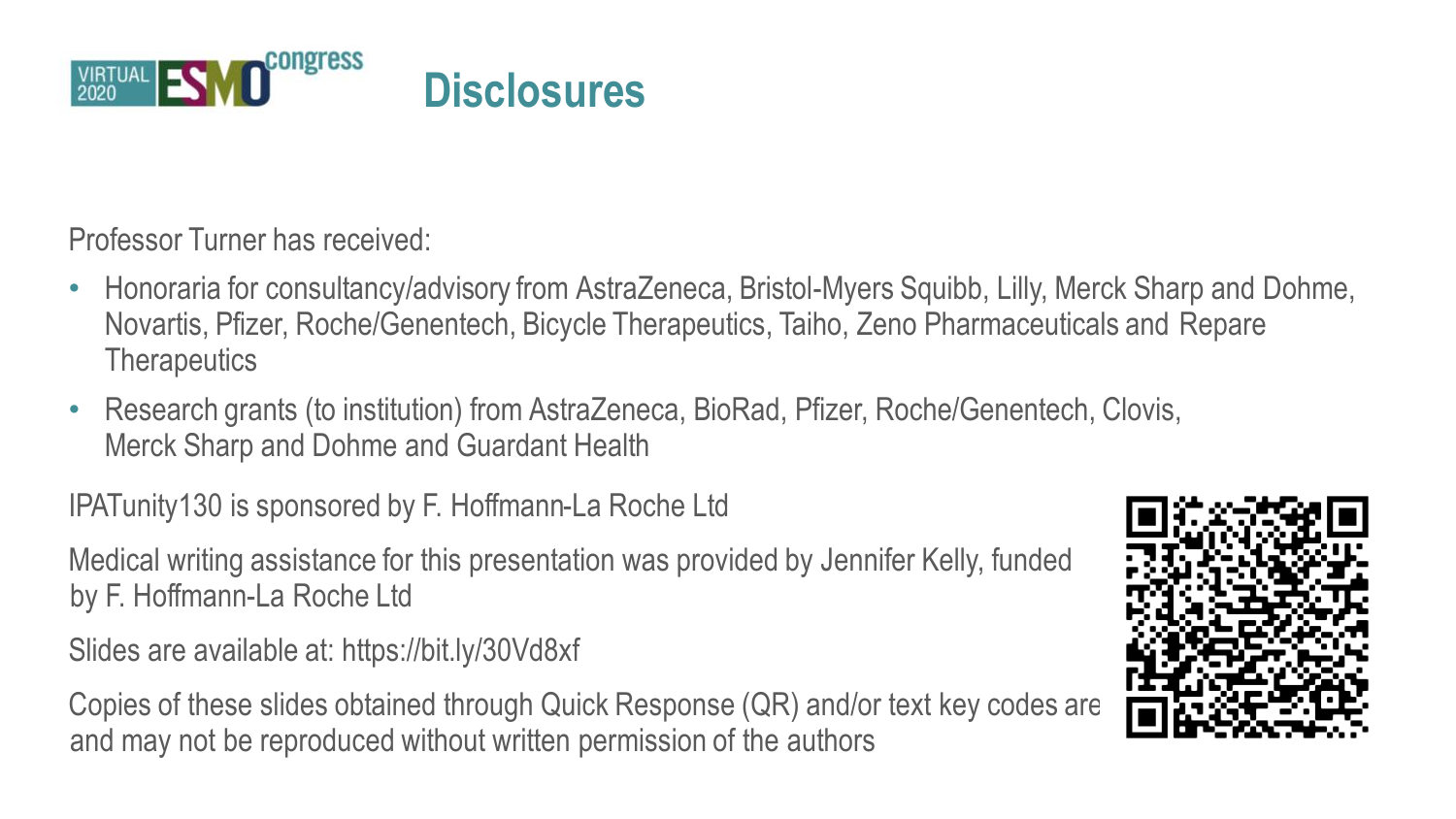

Professor Turner has received:

- Honoraria for consultancy/advisory from AstraZeneca, Bristol-Myers Squibb, Lilly, Merck Sharp and Dohme, Novartis, Pfizer, Roche/Genentech, Bicycle Therapeutics, Taiho, Zeno Pharmaceuticals and Repare **Therapeutics**
- Research grants (to institution) from AstraZeneca, BioRad, Pfizer, Roche/Genentech, Clovis, Merck Sharp and Dohme and Guardant Health

IPATunity130 is sponsored by F. Hoffmann-La Roche Ltd

Medical writing assistance for this presentation was provided by Jennifer Kelly, funded by F. Hoffmann-La Roche Ltd

Slides are available at: https://bit.ly/30Vd8xf

Copies of these slides obtained through Quick Response (QR) and/or text key codes are and may not be reproduced without written permission of the authors

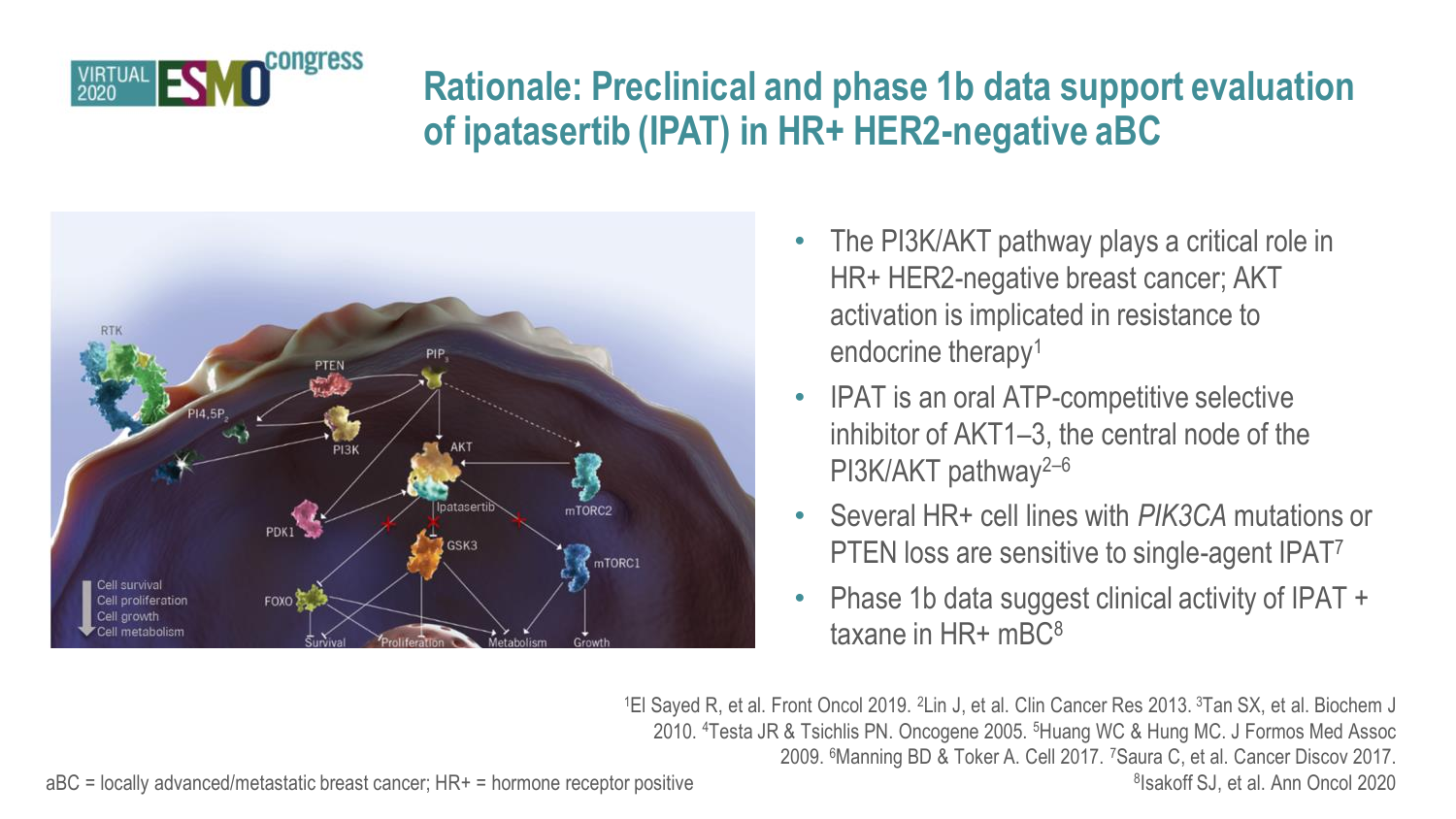

### **Rationale: Preclinical and phase 1b data support evaluation of ipatasertib (IPAT) in HR+ HER2-negative aBC**



- The PI3K/AKT pathway plays a critical role in HR+ HER2-negative breast cancer; AKT activation is implicated in resistance to endocrine therapy<sup>1</sup>
- IPAT is an oral ATP-competitive selective inhibitor of AKT1–3, the central node of the PI3K/AKT pathway<sup>2-6</sup>
- Several HR+ cell lines with *PIK3CA* mutations or PTEN loss are sensitive to single-agent IPAT<sup>7</sup>
- Phase 1b data suggest clinical activity of IPAT + taxane in HR+ mBC<sup>8</sup>

<sup>1</sup>El Sayed R, et al. Front Oncol 2019. <sup>2</sup>Lin J, et al. Clin Cancer Res 2013. <sup>3</sup>Tan SX, et al. Biochem J 2010. <sup>4</sup>Testa JR & Tsichlis PN. Oncogene 2005. <sup>5</sup>Huang WC & Hung MC. J Formos Med Assoc 2009. <sup>6</sup>Manning BD & Toker A. Cell 2017. <sup>7</sup>Saura C, et al. Cancer Discov 2017. 8 Isakoff SJ, et al. Ann Oncol 2020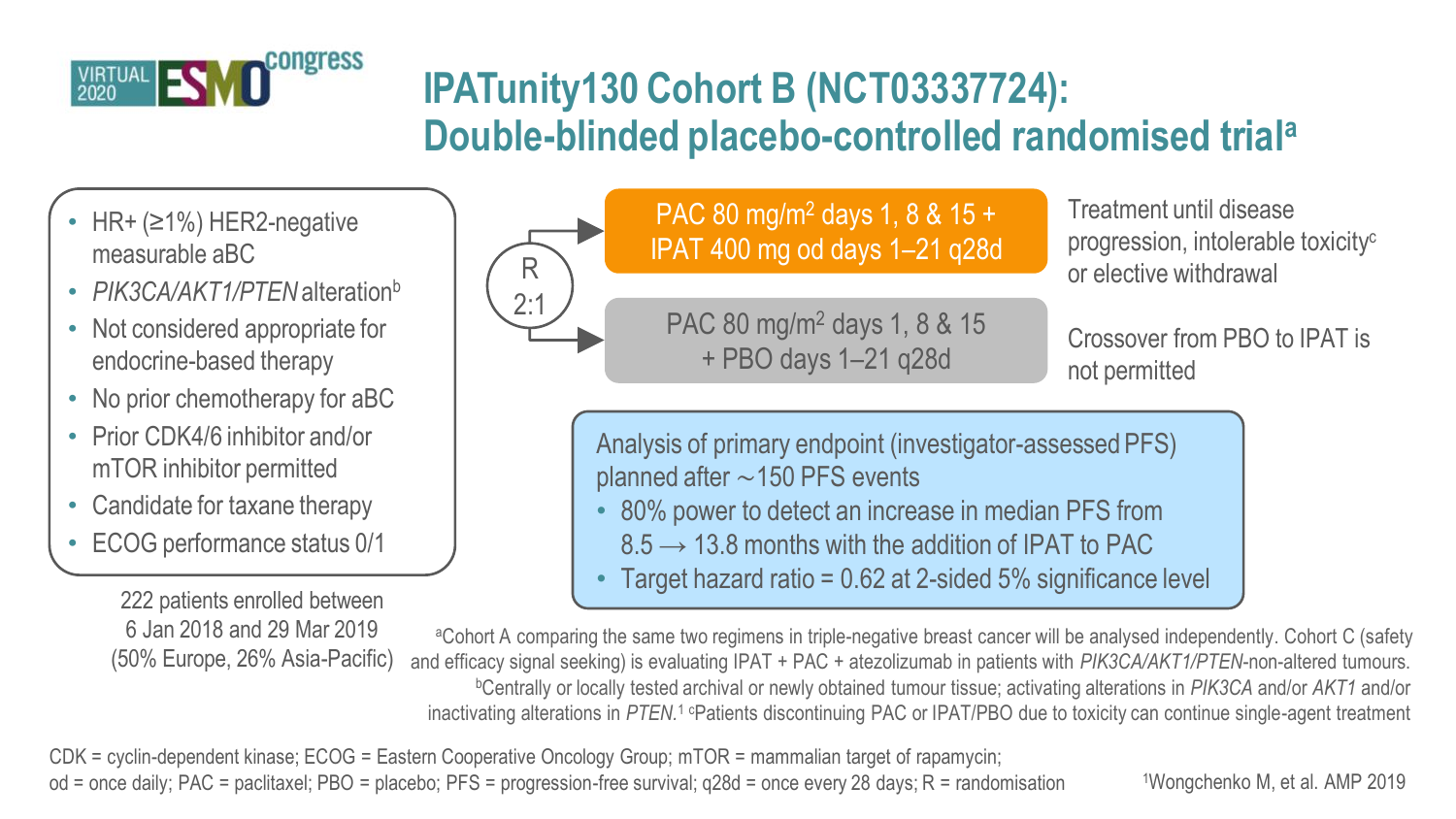

## **IPATunity130 Cohort B (NCT03337724): Double-blinded placebo-controlled randomised trial<sup>a</sup>**

- HR+ (≥1%) HER2-negative measurable aBC
- *PIK3CA/AKT1/PTEN* alteration<sup>b</sup>
- Not considered appropriate for endocrine-based therapy
- No prior chemotherapy for aBC
- Prior CDK4/6 inhibitor and/or mTOR inhibitor permitted
- Candidate for taxane therapy
- ECOG performance status 0/1

222 patients enrolled between 6 Jan 2018 and 29 Mar 2019 (50% Europe, 26% Asia-Pacific)



#### PAC 80 mg/m<sup>2</sup> days 1, 8 & 15 + IPAT 400 mg od days 1–21 q28d

PAC 80 mg/m<sup>2</sup> days 1, 8 & 15 + PBO days 1–21 q28d

Treatment until disease progression, intolerable toxicity<sup>c</sup> or elective withdrawal

Crossover from PBO to IPAT is not permitted

Analysis of primary endpoint (investigator-assessed PFS) planned after ∼150 PFS events

- 80% power to detect an increase in median PFS from
- $8.5 \rightarrow 13.8$  months with the addition of IPAT to PAC
- Target hazard ratio =  $0.62$  at 2-sided 5% significance level

<sup>a</sup>Cohort A comparing the same two regimens in triple-negative breast cancer will be analysed independently. Cohort C (safety and efficacy signal seeking) is evaluating IPAT + PAC + atezolizumab in patients with *PIK3CA/AKT1/PTEN*-non-altered tumours. <sup>b</sup>Centrally or locally tested archival or newly obtained tumour tissue; activating alterations in *PIK3CA* and/or *AKT1* and/or inactivating alterations in *PTEN*.<sup>1</sup> <sup>c</sup>Patients discontinuing PAC or IPAT/PBO due to toxicity can continue single-agent treatment

CDK = cyclin-dependent kinase; ECOG = Eastern Cooperative Oncology Group; mTOR = mammalian target of rapamycin; od = once daily; PAC = paclitaxel; PBO = placebo; PFS = progression-free survival; q28d = once every 28 days; R = randomisation

1Wongchenko M, et al. AMP 2019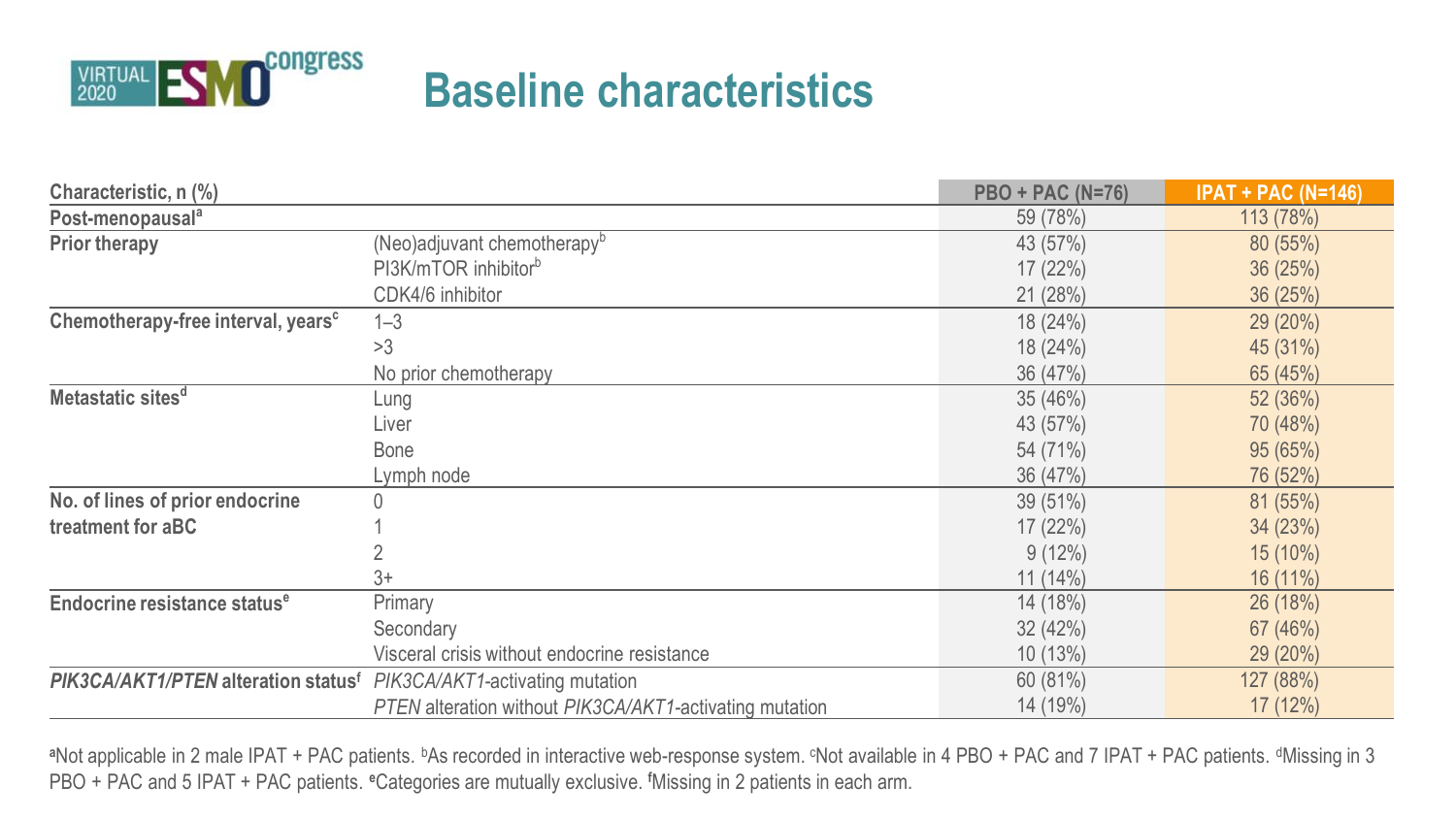

## **Baseline characteristics**

| Characteristic, n (%)                           |                                                         | <b>PBO + PAC (N=76)</b> | $IPAT + PAC (N=146)$ |
|-------------------------------------------------|---------------------------------------------------------|-------------------------|----------------------|
| Post-menopausal <sup>a</sup>                    |                                                         | 59 (78%)                | 113 (78%)            |
| Prior therapy                                   | (Neo)adjuvant chemotherapy <sup>b</sup>                 | 43 (57%)                | 80 (55%)             |
|                                                 | PI3K/mTOR inhibitor <sup>b</sup>                        | 17(22%)                 | 36(25%)              |
|                                                 | CDK4/6 inhibitor                                        | 21(28%)                 | 36(25%)              |
| Chemotherapy-free interval, years <sup>c</sup>  | $1 - 3$                                                 | 18 (24%)                | 29 (20%)             |
|                                                 | >3                                                      | 18 (24%)                | 45 (31%)             |
|                                                 | No prior chemotherapy                                   | 36 (47%)                | 65 (45%)             |
| Metastatic sites <sup>d</sup>                   | Lung                                                    | 35(46%)                 | 52(36%)              |
|                                                 | Liver                                                   | 43 (57%)                | 70 (48%)             |
|                                                 | <b>Bone</b>                                             | 54 (71%)                | 95(65%)              |
|                                                 | Lymph node                                              | 36 (47%)                | 76 (52%)             |
| No. of lines of prior endocrine                 | 0                                                       | 39(51%)                 | 81 (55%)             |
| treatment for aBC                               |                                                         | 17(22%)                 | 34(23%)              |
|                                                 |                                                         | $9(12\%)$               | 15 (10%)             |
|                                                 | $3+$                                                    | $11(14\%)$              | 16 (11%)             |
| Endocrine resistance status <sup>e</sup>        | Primary                                                 | 14 (18%)                | 26(18%)              |
|                                                 | Secondary                                               | 32(42%)                 | 67 (46%)             |
|                                                 | Visceral crisis without endocrine resistance            | 10(13%)                 | 29 (20%)             |
| PIK3CA/AKT1/PTEN alteration status <sup>f</sup> | PIK3CA/AKT1-activating mutation                         | 60 (81%)                | 127 (88%)            |
|                                                 | PTEN alteration without PIK3CA/AKT1-activating mutation | 14 (19%)                | 17 (12%)             |

<sup>a</sup>Not applicable in 2 male IPAT + PAC patients. <sup>b</sup>As recorded in interactive web-response system. <sup>c</sup>Not available in 4 PBO + PAC and 7 IPAT + PAC patients. <sup>d</sup>Missing in 3 PBO + PAC and 5 IPAT + PAC patients. **<sup>e</sup>**Categories are mutually exclusive. **<sup>f</sup>**Missing in 2 patients in each arm.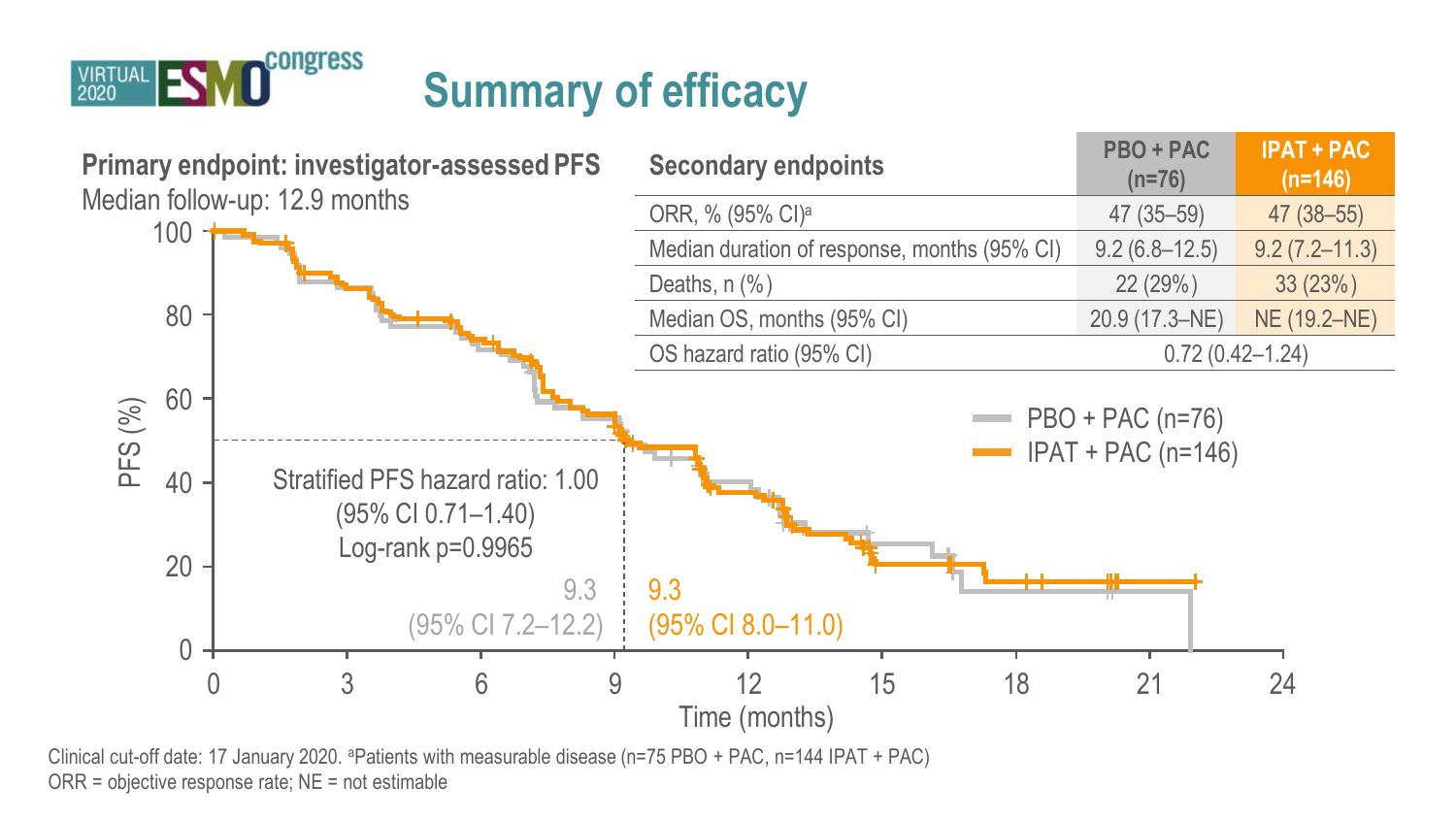

# **Summary of efficacy**



Clinical cut-off date: 17 January 2020. <sup>a</sup>Patients with measurable disease (n=75 PBO + PAC, n=144 IPAT + PAC) ORR = objective response rate; NE = not estimable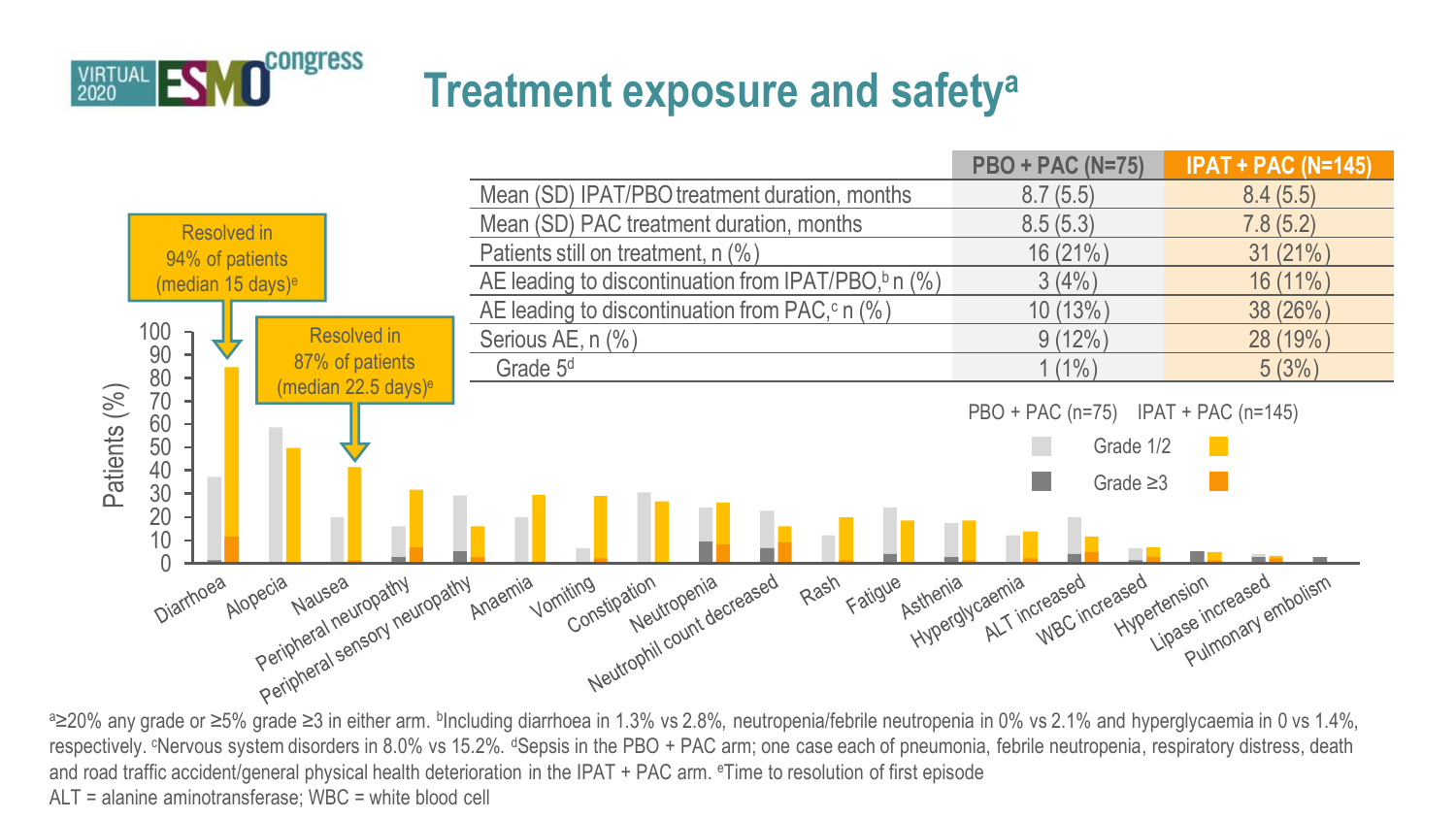

## **Treatment exposure and safety<sup>a</sup>**



e≥20% any grade or ≥5% grade ≥3 in either arm. <sup>b</sup>Including diarrhoea in 1.3% vs 2.8%, neutropenia/febrile neutropenia in 0% vs 2.1% and hyperglycaemia in 0 vs 1.4%, respectively. <sup>c</sup>Nervous system disorders in 8.0% vs 15.2%. <sup>d</sup>Sepsis in the PBO + PAC arm; one case each of pneumonia, febrile neutropenia, respiratory distress, death and road traffic accident/general physical health deterioration in the IPAT + PAC arm. <sup>e</sup>Time to resolution of first episode ALT = alanine aminotransferase; WBC = white blood cell